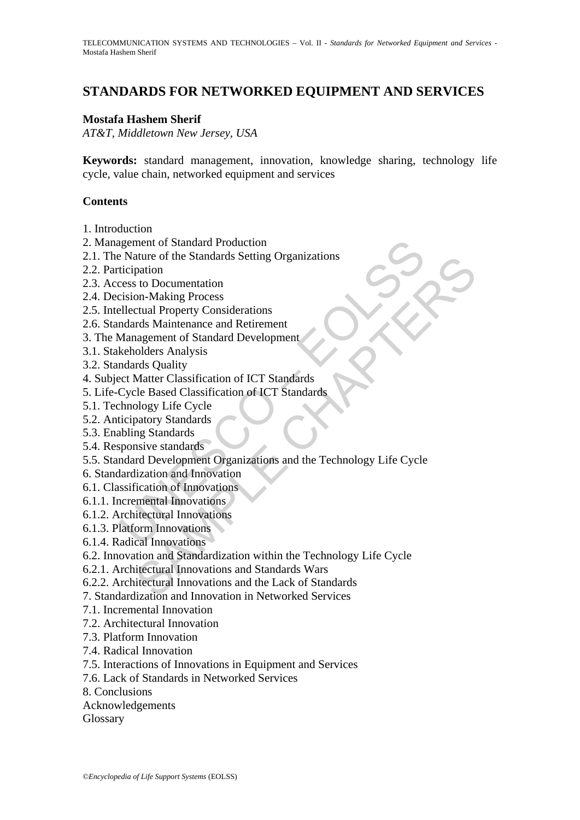# **STANDARDS FOR NETWORKED EQUIPMENT AND SERVICES**

#### **Mostafa Hashem Sherif**

*AT&T, Middletown New Jersey, USA* 

**Keywords:** standard management, innovation, knowledge sharing, technology life cycle, value chain, networked equipment and services

#### **Contents**

- 1. Introduction
- 2. Management of Standard Production
- 2.1. The Nature of the Standards Setting Organizations
- 2.2. Participation
- 2.3. Access to Documentation
- 2.4. Decision-Making Process
- 2.5. Intellectual Property Considerations
- 2.6. Standards Maintenance and Retirement
- 3. The Management of Standard Development
- 3.1. Stakeholders Analysis
- 3.2. Standards Quality
- 4. Subject Matter Classification of ICT Standards
- 5. Life-Cycle Based Classification of ICT Standards
- 5.1. Technology Life Cycle
- 5.2. Anticipatory Standards
- 5.3. Enabling Standards
- 5.4. Responsive standards
- ignment of Standard Production<br>
Examples Characteristic Dreamizations<br>
iterigation<br>
Ecss to Documentation<br>
Ecss to Documentation<br>
Ecss to Documentation<br>
Ecssi ellectual Property Considerations<br>
Electual Property Considerat 5.5. Standard Development Organizations and the Technology Life Cycle
- 6. Standardization and Innovation
- 6.1. Classification of Innovations
- 6.1.1. Incremental Innovations
- 6.1.2. Architectural Innovations
- 6.1.3. Platform Innovations
- 6.1.4. Radical Innovations
- ature of the Standards Setting Organizations<br>
to Documentation<br>
to Documentation<br>
are to Documentation<br>
and Maintenance and Retirement<br>
angement of Standard Development<br>
Matter Classification of ICT Standards<br>
Matter Class 6.2. Innovation and Standardization within the Technology Life Cycle
- 6.2.1. Architectural Innovations and Standards Wars
- 6.2.2. Architectural Innovations and the Lack of Standards
- 7. Standardization and Innovation in Networked Services
- 7.1. Incremental Innovation
- 7.2. Architectural Innovation
- 7.3. Platform Innovation
- 7.4. Radical Innovation
- 7.5. Interactions of Innovations in Equipment and Services
- 7.6. Lack of Standards in Networked Services
- 8. Conclusions
- Acknowledgements
- Glossary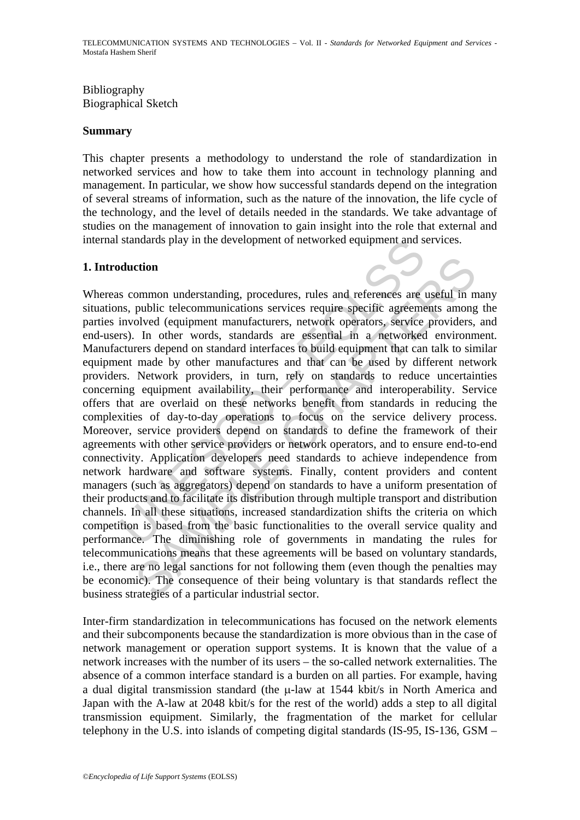### Bibliography Biographical Sketch

#### **Summary**

This chapter presents a methodology to understand the role of standardization in networked services and how to take them into account in technology planning and management. In particular, we show how successful standards depend on the integration of several streams of information, such as the nature of the innovation, the life cycle of the technology, and the level of details needed in the standards. We take advantage of studies on the management of innovation to gain insight into the role that external and internal standards play in the development of networked equipment and services.

#### **1. Introduction**

standards play in the development of networked equipment and s<br>
duction<br>
sommon understanding, procedures, rules and references are<br>
ns, public telecommunications services require specific agreeme<br>
involved (equipment manu ction<br>
common understanding, procedures, rules and references are useful in m<br>
public telecommunications services require specific agreements among<br>
olved (equipment manufacturers, network operators, service providers,<br>
In Whereas common understanding, procedures, rules and references are useful in many situations, public telecommunications services require specific agreements among the parties involved (equipment manufacturers, network operators, service providers, and end-users). In other words, standards are essential in a networked environment. Manufacturers depend on standard interfaces to build equipment that can talk to similar equipment made by other manufactures and that can be used by different network providers. Network providers, in turn, rely on standards to reduce uncertainties concerning equipment availability, their performance and interoperability. Service offers that are overlaid on these networks benefit from standards in reducing the complexities of day-to-day operations to focus on the service delivery process. Moreover, service providers depend on standards to define the framework of their agreements with other service providers or network operators, and to ensure end-to-end connectivity. Application developers need standards to achieve independence from network hardware and software systems. Finally, content providers and content managers (such as aggregators) depend on standards to have a uniform presentation of their products and to facilitate its distribution through multiple transport and distribution channels. In all these situations, increased standardization shifts the criteria on which competition is based from the basic functionalities to the overall service quality and performance. The diminishing role of governments in mandating the rules for telecommunications means that these agreements will be based on voluntary standards, i.e., there are no legal sanctions for not following them (even though the penalties may be economic). The consequence of their being voluntary is that standards reflect the business strategies of a particular industrial sector.

Inter-firm standardization in telecommunications has focused on the network elements and their subcomponents because the standardization is more obvious than in the case of network management or operation support systems. It is known that the value of a network increases with the number of its users – the so-called network externalities. The absence of a common interface standard is a burden on all parties. For example, having a dual digital transmission standard (the μ-law at 1544 kbit/s in North America and Japan with the A-law at 2048 kbit/s for the rest of the world) adds a step to all digital transmission equipment. Similarly, the fragmentation of the market for cellular telephony in the U.S. into islands of competing digital standards (IS-95, IS-136, GSM –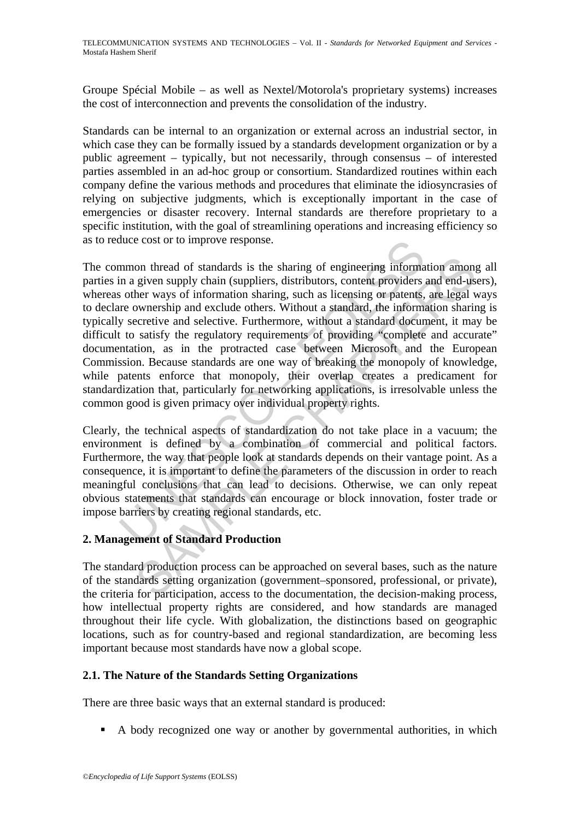Groupe Spécial Mobile – as well as Nextel/Motorola's proprietary systems) increases the cost of interconnection and prevents the consolidation of the industry.

Standards can be internal to an organization or external across an industrial sector, in which case they can be formally issued by a standards development organization or by a public agreement – typically, but not necessarily, through consensus – of interested parties assembled in an ad-hoc group or consortium. Standardized routines within each company define the various methods and procedures that eliminate the idiosyncrasies of relying on subjective judgments, which is exceptionally important in the case of emergencies or disaster recovery. Internal standards are therefore proprietary to a specific institution, with the goal of streamlining operations and increasing efficiency so as to reduce cost or to improve response.

fluit cost or to improve response.<br>
mmon thread of standards is the sharing of engineering informa<br>
in a given supply chain (suppliers, distributors, content providers<br>
so ther ways of information sharing, such as licensin on thread of standards is the sharing of engineering information among<br>given supply chain (suppliers, distributors, content providers and end-us<br>her ways of information sharing, such as licensing or patents, are legal v<br>ow The common thread of standards is the sharing of engineering information among all parties in a given supply chain (suppliers, distributors, content providers and end-users), whereas other ways of information sharing, such as licensing or patents, are legal ways to declare ownership and exclude others. Without a standard, the information sharing is typically secretive and selective. Furthermore, without a standard document, it may be difficult to satisfy the regulatory requirements of providing "complete and accurate" documentation, as in the protracted case between Microsoft and the European Commission. Because standards are one way of breaking the monopoly of knowledge, while patents enforce that monopoly, their overlap creates a predicament for standardization that, particularly for networking applications, is irresolvable unless the common good is given primacy over individual property rights.

Clearly, the technical aspects of standardization do not take place in a vacuum; the environment is defined by a combination of commercial and political factors. Furthermore, the way that people look at standards depends on their vantage point. As a consequence, it is important to define the parameters of the discussion in order to reach meaningful conclusions that can lead to decisions. Otherwise, we can only repeat obvious statements that standards can encourage or block innovation, foster trade or impose barriers by creating regional standards, etc.

# **2. Management of Standard Production**

The standard production process can be approached on several bases, such as the nature of the standards setting organization (government–sponsored, professional, or private), the criteria for participation, access to the documentation, the decision-making process, how intellectual property rights are considered, and how standards are managed throughout their life cycle. With globalization, the distinctions based on geographic locations, such as for country-based and regional standardization, are becoming less important because most standards have now a global scope.

### **2.1. The Nature of the Standards Setting Organizations**

There are three basic ways that an external standard is produced:

A body recognized one way or another by governmental authorities, in which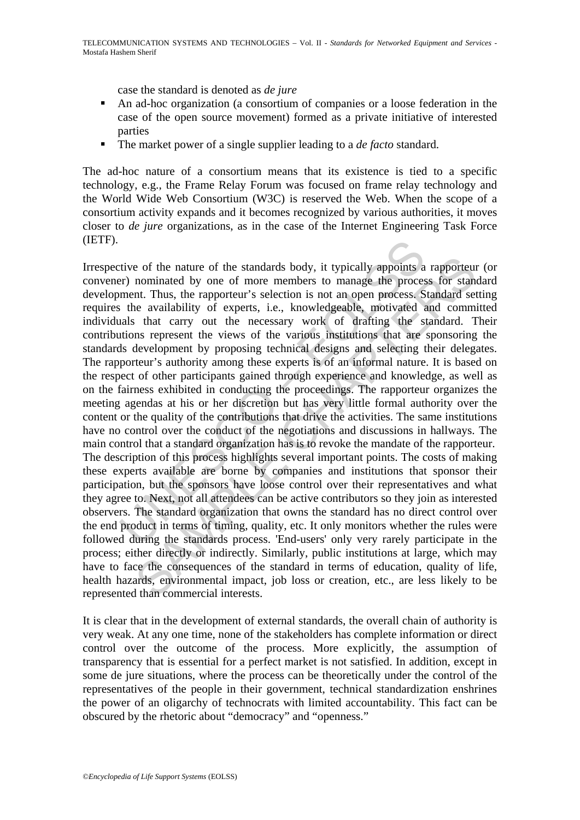case the standard is denoted as *de jure*

- An ad-hoc organization (a consortium of companies or a loose federation in the case of the open source movement) formed as a private initiative of interested parties
- The market power of a single supplier leading to a *de facto* standard.

The ad-hoc nature of a consortium means that its existence is tied to a specific technology, e.g., the Frame Relay Forum was focused on frame relay technology and the World Wide Web Consortium (W3C) is reserved the Web. When the scope of a consortium activity expands and it becomes recognized by various authorities, it moves closer to *de jure* organizations, as in the case of the Internet Engineering Task Force (IETF).

tive of the nature of the standards body, it typically appoints ar) nominated by one of more members to manage the process ment. Thus, the rapporteur's selection is not an open process. S is the availability of experts, i. e of the nature of the standards body, it typically appoints a rapporteun<br>ominated by one of more members to manage the process for standard set<br>e availability of experts, i.e., knowledgeable, motivated and commin<br>t. Thus, Irrespective of the nature of the standards body, it typically appoints a rapporteur (or convener) nominated by one of more members to manage the process for standard development. Thus, the rapporteur's selection is not an open process. Standard setting requires the availability of experts, i.e., knowledgeable, motivated and committed individuals that carry out the necessary work of drafting the standard. Their contributions represent the views of the various institutions that are sponsoring the standards development by proposing technical designs and selecting their delegates. The rapporteur's authority among these experts is of an informal nature. It is based on the respect of other participants gained through experience and knowledge, as well as on the fairness exhibited in conducting the proceedings. The rapporteur organizes the meeting agendas at his or her discretion but has very little formal authority over the content or the quality of the contributions that drive the activities. The same institutions have no control over the conduct of the negotiations and discussions in hallways. The main control that a standard organization has is to revoke the mandate of the rapporteur. The description of this process highlights several important points. The costs of making these experts available are borne by companies and institutions that sponsor their participation, but the sponsors have loose control over their representatives and what they agree to. Next, not all attendees can be active contributors so they join as interested observers. The standard organization that owns the standard has no direct control over the end product in terms of timing, quality, etc. It only monitors whether the rules were followed during the standards process. 'End-users' only very rarely participate in the process; either directly or indirectly. Similarly, public institutions at large, which may have to face the consequences of the standard in terms of education, quality of life, health hazards, environmental impact, job loss or creation, etc., are less likely to be represented than commercial interests.

It is clear that in the development of external standards, the overall chain of authority is very weak. At any one time, none of the stakeholders has complete information or direct control over the outcome of the process. More explicitly, the assumption of transparency that is essential for a perfect market is not satisfied. In addition, except in some de jure situations, where the process can be theoretically under the control of the representatives of the people in their government, technical standardization enshrines the power of an oligarchy of technocrats with limited accountability. This fact can be obscured by the rhetoric about "democracy" and "openness."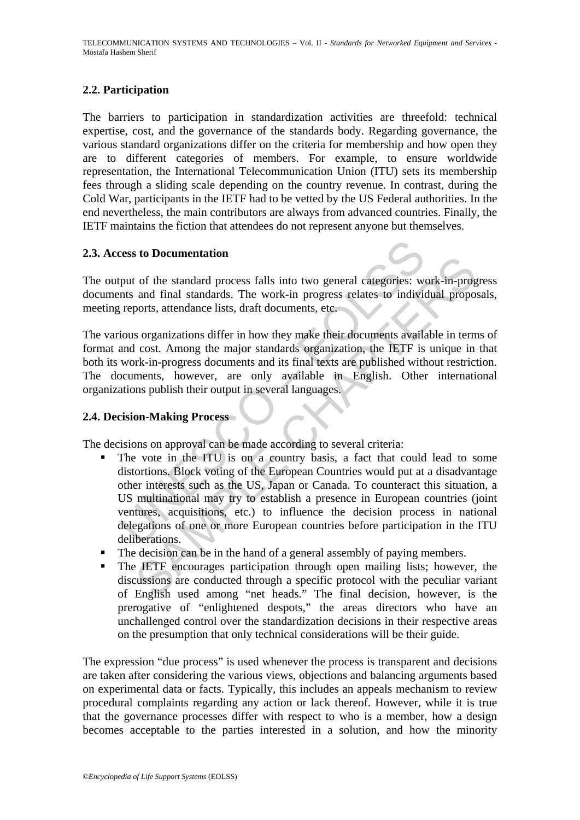### **2.2. Participation**

The barriers to participation in standardization activities are threefold: technical expertise, cost, and the governance of the standards body. Regarding governance, the various standard organizations differ on the criteria for membership and how open they are to different categories of members. For example, to ensure worldwide representation, the International Telecommunication Union (ITU) sets its membership fees through a sliding scale depending on the country revenue. In contrast, during the Cold War, participants in the IETF had to be vetted by the US Federal authorities. In the end nevertheless, the main contributors are always from advanced countries. Finally, the IETF maintains the fiction that attendees do not represent anyone but themselves.

### **2.3. Access to Documentation**

The output of the standard process falls into two general categories: work-in-progress documents and final standards. The work-in progress relates to individual proposals, meeting reports, attendance lists, draft documents, etc.

The various organizations differ in how they make their documents available in terms of format and cost. Among the major standards organization, the IETF is unique in that both its work-in-progress documents and its final texts are published without restriction. The documents, however, are only available in English. Other international organizations publish their output in several languages.

### **2.4. Decision-Making Process**

The decisions on approval can be made according to several criteria:

- ress to Documentation<br>put of the standard process falls into two general categories: we<br>nts and final standards. The work-in progress relates to indivia<br>reports, attendance lists, draft documents, etc.<br>ious organizations d Solutional standard moving and the hand of a general categories: work-in-prog<br>and final standards. The work-in progress relates to individual propo<br>ports, attendance lists, draft documents, etc.<br>sorganizations differ in ho The vote in the ITU is on a country basis, a fact that could lead to some distortions. Block voting of the European Countries would put at a disadvantage other interests such as the US, Japan or Canada. To counteract this situation, a US multinational may try to establish a presence in European countries (joint ventures, acquisitions, etc.) to influence the decision process in national delegations of one or more European countries before participation in the ITU deliberations.
- The decision can be in the hand of a general assembly of paying members.
- The IETF encourages participation through open mailing lists; however, the discussions are conducted through a specific protocol with the peculiar variant of English used among "net heads." The final decision, however, is the prerogative of "enlightened despots," the areas directors who have an unchallenged control over the standardization decisions in their respective areas on the presumption that only technical considerations will be their guide.

The expression "due process" is used whenever the process is transparent and decisions are taken after considering the various views, objections and balancing arguments based on experimental data or facts. Typically, this includes an appeals mechanism to review procedural complaints regarding any action or lack thereof. However, while it is true that the governance processes differ with respect to who is a member, how a design becomes acceptable to the parties interested in a solution, and how the minority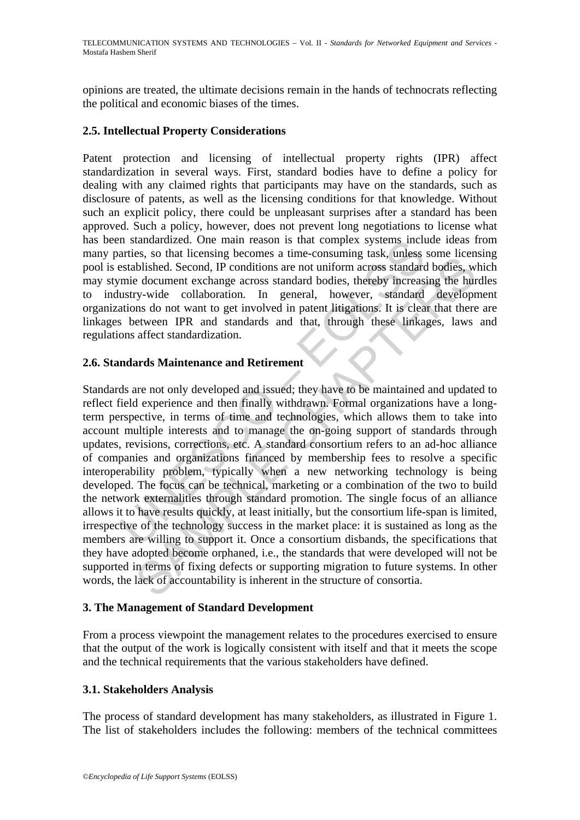opinions are treated, the ultimate decisions remain in the hands of technocrats reflecting the political and economic biases of the times.

### **2.5. Intellectual Property Considerations**

Patent protection and licensing of intellectual property rights (IPR) affect standardization in several ways. First, standard bodies have to define a policy for dealing with any claimed rights that participants may have on the standards, such as disclosure of patents, as well as the licensing conditions for that knowledge. Without such an explicit policy, there could be unpleasant surprises after a standard has been approved. Such a policy, however, does not prevent long negotiations to license what has been standardized. One main reason is that complex systems include ideas from many parties, so that licensing becomes a time-consuming task, unless some licensing pool is established. Second, IP conditions are not uniform across standard bodies, which may stymie document exchange across standard bodies, thereby increasing the hurdles to industry-wide collaboration. In general, however, standard development organizations do not want to get involved in patent litigations. It is clear that there are linkages between IPR and standards and that, through these linkages, laws and regulations affect standardization.

### **2.6. Standards Maintenance and Retirement**

In standardized. One main reason is that complex systems included<br>articles, so that licensing becomes a time-consuming task, unless<br>tatalished. Second, IP conditions are not uniform across standard<br>mie document exchange ac Ess, so that necessing eccounses a time-consisting case, theses standard bodies, whis solutions are not uniform across standard bodies, where electurent exchange across standard bodies, thereby increasing the hurd yerd col Standards are not only developed and issued; they have to be maintained and updated to reflect field experience and then finally withdrawn. Formal organizations have a longterm perspective, in terms of time and technologies, which allows them to take into account multiple interests and to manage the on-going support of standards through updates, revisions, corrections, etc. A standard consortium refers to an ad-hoc alliance of companies and organizations financed by membership fees to resolve a specific interoperability problem, typically when a new networking technology is being developed. The focus can be technical, marketing or a combination of the two to build the network externalities through standard promotion. The single focus of an alliance allows it to have results quickly, at least initially, but the consortium life-span is limited, irrespective of the technology success in the market place: it is sustained as long as the members are willing to support it. Once a consortium disbands, the specifications that they have adopted become orphaned, i.e., the standards that were developed will not be supported in terms of fixing defects or supporting migration to future systems. In other words, the lack of accountability is inherent in the structure of consortia.

### **3. The Management of Standard Development**

From a process viewpoint the management relates to the procedures exercised to ensure that the output of the work is logically consistent with itself and that it meets the scope and the technical requirements that the various stakeholders have defined.

### **3.1. Stakeholders Analysis**

The process of standard development has many stakeholders, as illustrated in Figure 1. The list of stakeholders includes the following: members of the technical committees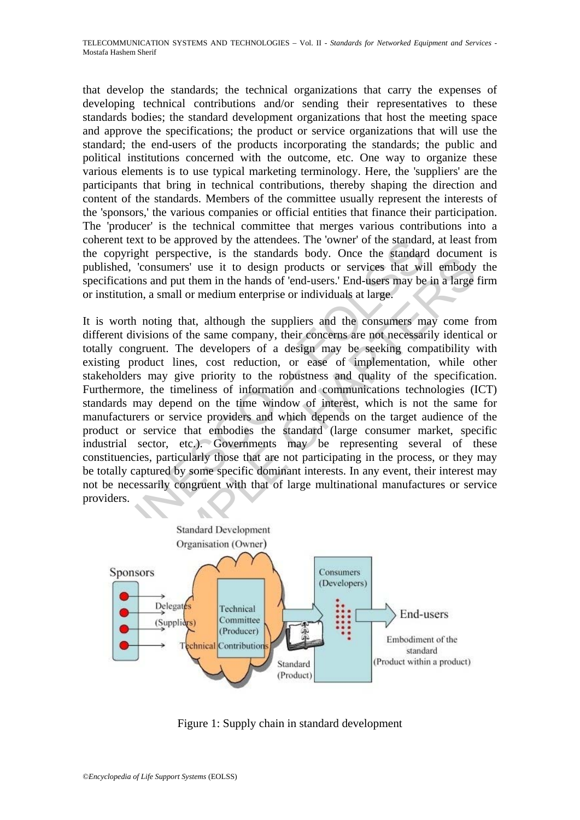that develop the standards; the technical organizations that carry the expenses of developing technical contributions and/or sending their representatives to these standards bodies; the standard development organizations that host the meeting space and approve the specifications; the product or service organizations that will use the standard; the end-users of the products incorporating the standards; the public and political institutions concerned with the outcome, etc. One way to organize these various elements is to use typical marketing terminology. Here, the 'suppliers' are the participants that bring in technical contributions, thereby shaping the direction and content of the standards. Members of the committee usually represent the interests of the 'sponsors,' the various companies or official entities that finance their participation. The 'producer' is the technical committee that merges various contributions into a coherent text to be approved by the attendees. The 'owner' of the standard, at least from the copyright perspective, is the standards body. Once the standard document is published, 'consumers' use it to design products or services that will embody the specifications and put them in the hands of 'end-users.' End-users may be in a large firm or institution, a small or medium enterprise or individuals at large.

It ext to be approved by the attendees. The 'owner' of the standary<br>pyright perspective, is the standards body. Once the standard<br>gd, 'consumers' use it to design products or services that wi<br>ations and put them in the han Franchiscone, is alternative to design products or services that will embody<br>
Consumers' use it to design products or services that will embody<br>
ons and put them in the hands of 'end-users.' End-users may be in a large<br>
on It is worth noting that, although the suppliers and the consumers may come from different divisions of the same company, their concerns are not necessarily identical or totally congruent. The developers of a design may be seeking compatibility with existing product lines, cost reduction, or ease of implementation, while other stakeholders may give priority to the robustness and quality of the specification. Furthermore, the timeliness of information and communications technologies (ICT) standards may depend on the time window of interest, which is not the same for manufacturers or service providers and which depends on the target audience of the product or service that embodies the standard (large consumer market, specific industrial sector, etc.). Governments may be representing several of these constituencies, particularly those that are not participating in the process, or they may be totally captured by some specific dominant interests. In any event, their interest may not be necessarily congruent with that of large multinational manufactures or service providers.



Figure 1: Supply chain in standard development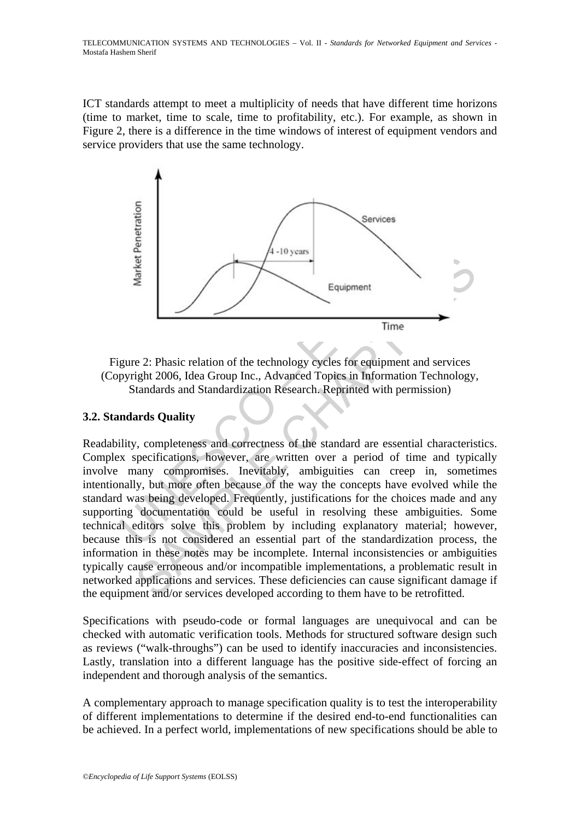ICT standards attempt to meet a multiplicity of needs that have different time horizons (time to market, time to scale, time to profitability, etc.). For example, as shown in Figure 2, there is a difference in the time windows of interest of equipment vendors and service providers that use the same technology.



Figure 2: Phasic relation of the technology cycles for equipment and services (Copyright 2006, Idea Group Inc., Advanced Topics in Information Technology, Standards and Standardization Research. Reprinted with permission)

## **3.2. Standards Quality**

France Control of the technology cycles for equipment<br>Equipment<br>Time<br>gure 2: Phasic relation of the technology cycles for equipment and<br>pyright 2006, Idea Group Inc., Advanced Topics in Information T<br>Standards and Standard Examplement<br>
Search Content Comparison<br>
For Equipment<br>
Equipment<br>
For Equipment<br>
Sight 2006, Idea Group Inc., Advanced Topics in Information Technology,<br>
tandards and Standardization Research. Reprinted with permission)<br>
a Readability, completeness and correctness of the standard are essential characteristics. Complex specifications, however, are written over a period of time and typically involve many compromises. Inevitably, ambiguities can creep in, sometimes intentionally, but more often because of the way the concepts have evolved while the standard was being developed. Frequently, justifications for the choices made and any supporting documentation could be useful in resolving these ambiguities. Some technical editors solve this problem by including explanatory material; however, because this is not considered an essential part of the standardization process, the information in these notes may be incomplete. Internal inconsistencies or ambiguities typically cause erroneous and/or incompatible implementations, a problematic result in networked applications and services. These deficiencies can cause significant damage if the equipment and/or services developed according to them have to be retrofitted.

Specifications with pseudo-code or formal languages are unequivocal and can be checked with automatic verification tools. Methods for structured software design such as reviews ("walk-throughs") can be used to identify inaccuracies and inconsistencies. Lastly, translation into a different language has the positive side-effect of forcing an independent and thorough analysis of the semantics.

A complementary approach to manage specification quality is to test the interoperability of different implementations to determine if the desired end-to-end functionalities can be achieved. In a perfect world, implementations of new specifications should be able to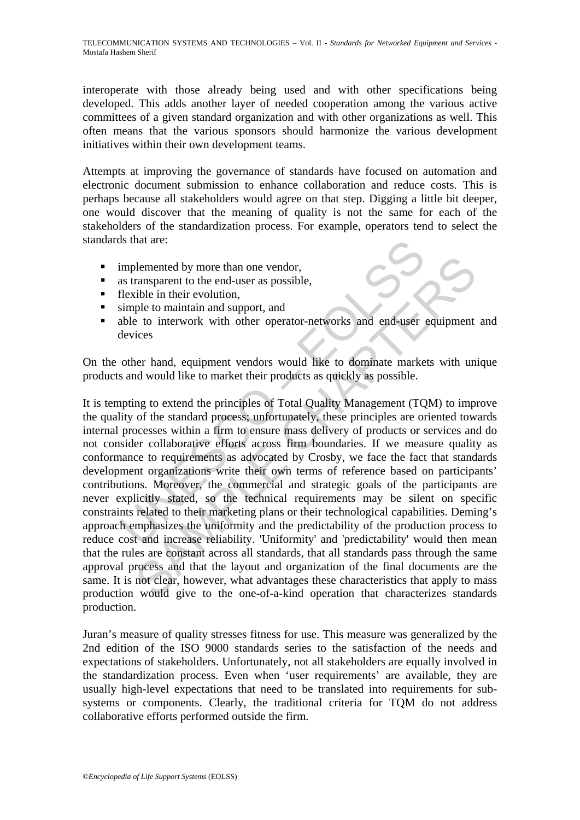interoperate with those already being used and with other specifications being developed. This adds another layer of needed cooperation among the various active committees of a given standard organization and with other organizations as well. This often means that the various sponsors should harmonize the various development initiatives within their own development teams.

Attempts at improving the governance of standards have focused on automation and electronic document submission to enhance collaboration and reduce costs. This is perhaps because all stakeholders would agree on that step. Digging a little bit deeper, one would discover that the meaning of quality is not the same for each of the stakeholders of the standardization process. For example, operators tend to select the standards that are:

- **implemented by more than one vendor,**
- as transparent to the end-user as possible,
- $\blacksquare$  flexible in their evolution,
- simple to maintain and support, and
- able to interwork with other operator-networks and end-user equipment and devices

On the other hand, equipment vendors would like to dominate markets with unique products and would like to market their products as quickly as possible.

Is that are:<br>
implemented by more than one vendor,<br>
sas transparent to the end-user as possible,<br>
flexible in their evolution,<br>
simple to maintain and support, and<br>
debte to interwork with other operator-networks and end-u blemented by more than one vendor,<br>
ransparent to the end-user as possible,<br>
tible in their evolution,<br>
the to maintain and support, and<br>
to interwork with other operator-networks and end-user equipment<br>
rices<br>
ter hand, e It is tempting to extend the principles of Total Quality Management (TQM) to improve the quality of the standard process; unfortunately, these principles are oriented towards internal processes within a firm to ensure mass delivery of products or services and do not consider collaborative efforts across firm boundaries. If we measure quality as conformance to requirements as advocated by Crosby, we face the fact that standards development organizations write their own terms of reference based on participants' contributions. Moreover, the commercial and strategic goals of the participants are never explicitly stated, so the technical requirements may be silent on specific constraints related to their marketing plans or their technological capabilities. Deming's approach emphasizes the uniformity and the predictability of the production process to reduce cost and increase reliability. 'Uniformity' and 'predictability' would then mean that the rules are constant across all standards, that all standards pass through the same approval process and that the layout and organization of the final documents are the same. It is not clear, however, what advantages these characteristics that apply to mass production would give to the one-of-a-kind operation that characterizes standards production.

Juran's measure of quality stresses fitness for use. This measure was generalized by the 2nd edition of the ISO 9000 standards series to the satisfaction of the needs and expectations of stakeholders. Unfortunately, not all stakeholders are equally involved in the standardization process. Even when 'user requirements' are available, they are usually high-level expectations that need to be translated into requirements for subsystems or components. Clearly, the traditional criteria for TQM do not address collaborative efforts performed outside the firm.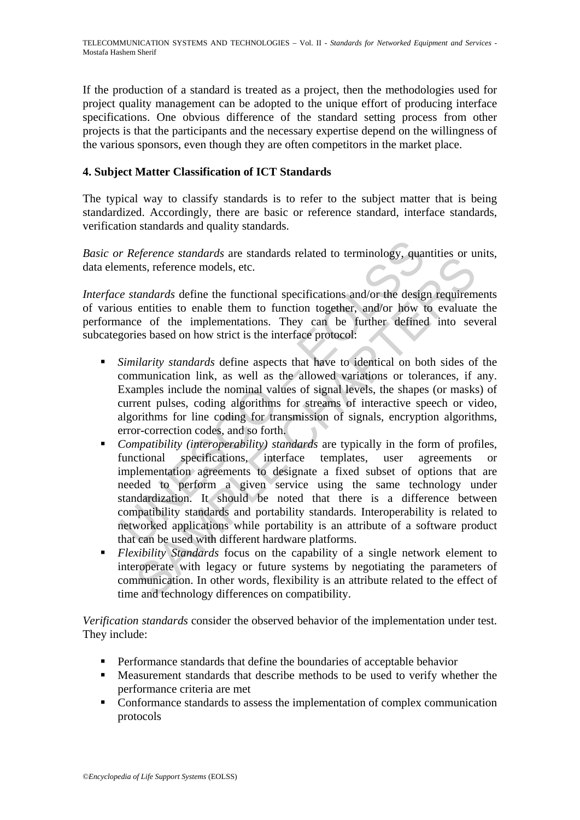If the production of a standard is treated as a project, then the methodologies used for project quality management can be adopted to the unique effort of producing interface specifications. One obvious difference of the standard setting process from other projects is that the participants and the necessary expertise depend on the willingness of the various sponsors, even though they are often competitors in the market place.

## **4. Subject Matter Classification of ICT Standards**

The typical way to classify standards is to refer to the subject matter that is being standardized. Accordingly, there are basic or reference standard, interface standards, verification standards and quality standards.

*Basic or Reference standards* are standards related to terminology, quantities or units, data elements, reference models, etc.

*Interface standards* define the functional specifications and/or the design requirements of various entities to enable them to function together, and/or how to evaluate the performance of the implementations. They can be further defined into several subcategories based on how strict is the interface protocol:

- *Similarity standards* define aspects that have to identical on both sides of the communication link, as well as the allowed variations or tolerances, if any. Examples include the nominal values of signal levels, the shapes (or masks) of current pulses, coding algorithms for streams of interactive speech or video, algorithms for line coding for transmission of signals, encryption algorithms, error-correction codes, and so forth.
- *r Reference standards* are standards related to terminology, quaments, reference models, etc.<br> *e standards* define the functional specifications and/or the designuse entities to enable them to function together, and/or eyerare simularias are standari encoded to entimology, quantues or a<br>transfar a fermine and the functional specifications and/or the design requirem<br>entities to enable them to function together, and/or how to evaluate<br>enti *Compatibility (interoperability) standards* are typically in the form of profiles, functional specifications, interface templates, user agreements or implementation agreements to designate a fixed subset of options that are needed to perform a given service using the same technology under standardization. It should be noted that there is a difference between compatibility standards and portability standards. Interoperability is related to networked applications while portability is an attribute of a software product that can be used with different hardware platforms.
- *Flexibility Standards* focus on the capability of a single network element to interoperate with legacy or future systems by negotiating the parameters of communication. In other words, flexibility is an attribute related to the effect of time and technology differences on compatibility.

*Verification standards* consider the observed behavior of the implementation under test. They include:

- Performance standards that define the boundaries of acceptable behavior
- Measurement standards that describe methods to be used to verify whether the performance criteria are met
- Conformance standards to assess the implementation of complex communication protocols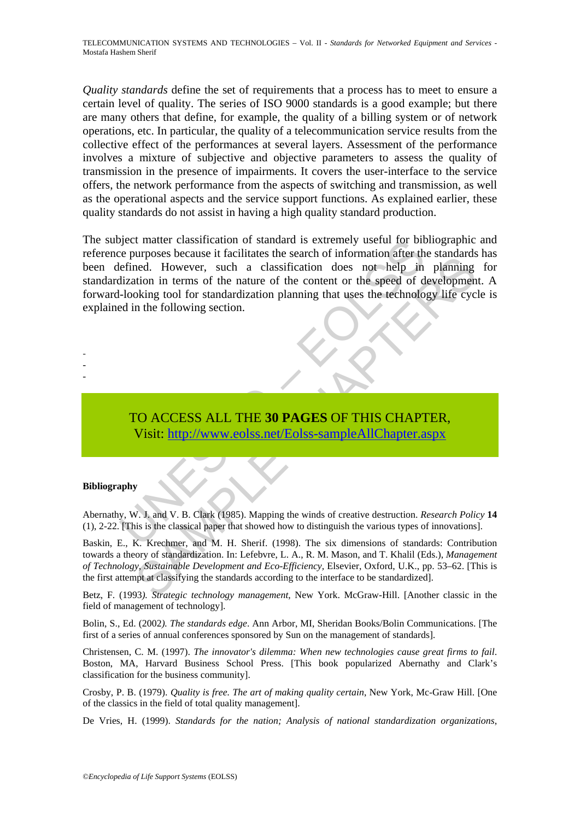*Quality standards* define the set of requirements that a process has to meet to ensure a certain level of quality. The series of ISO 9000 standards is a good example; but there are many others that define, for example, the quality of a billing system or of network operations, etc. In particular, the quality of a telecommunication service results from the collective effect of the performances at several layers. Assessment of the performance involves a mixture of subjective and objective parameters to assess the quality of transmission in the presence of impairments. It covers the user-interface to the service offers, the network performance from the aspects of switching and transmission, as well as the operational aspects and the service support functions. As explained earlier, these quality standards do not assist in having a high quality standard production.

and the causaring and the search of standard is extremely useful for bitter the pear of the formation after the search of information after the effection. However, such a classification does not help in dization in terms o in proses occasion in a claim and since and control means of the since the since the since the since the speed of development<br>tion in terms of the nature of the content or the speed of development<br>oloning tool for standard The subject matter classification of standard is extremely useful for bibliographic and reference purposes because it facilitates the search of information after the standards has been defined. However, such a classification does not help in planning for standardization in terms of the nature of the content or the speed of development. A forward-looking tool for standardization planning that uses the technology life cycle is explained in the following section.

# TO ACCESS ALL THE **30 PAGES** OF THIS CHAPTER, Visit: http://www.eolss.net/Eolss-sampleAllChapter.aspx

#### **Bibliography**

- - -

Abernathy, W. J. and V. B. Clark (1985). Mapping the winds of creative destruction. *Research Policy* **14**  (1), 2-22. [This is the classical paper that showed how to distinguish the various types of innovations].

Baskin, E., K. Krechmer, and M. H. Sherif. (1998). The six dimensions of standards: Contribution towards a theory of standardization. In: Lefebvre, L. A., R. M. Mason, and T. Khalil (Eds.), *Management of Technology, Sustainable Development and Eco-Efficiency,* Elsevier, Oxford, U.K., pp. 53–62. [This is the first attempt at classifying the standards according to the interface to be standardized].

Betz, F. (1993*). Strategic technology management*, New York. McGraw-Hill. [Another classic in the field of management of technology].

Bolin, S., Ed. (2002*). The standards edge*. Ann Arbor, MI, Sheridan Books/Bolin Communications. [The first of a series of annual conferences sponsored by Sun on the management of standards].

Christensen, C. M. (1997). *The innovator's dilemma: When new technologies cause great firms to fail*. Boston, MA, Harvard Business School Press. [This book popularized Abernathy and Clark's classification for the business community].

Crosby, P. B. (1979). *Quality is free. The art of making quality certain*, New York, Mc-Graw Hill. [One of the classics in the field of total quality management].

De Vries, H. (1999). *Standards for the nation; Analysis of national standardization organizations*,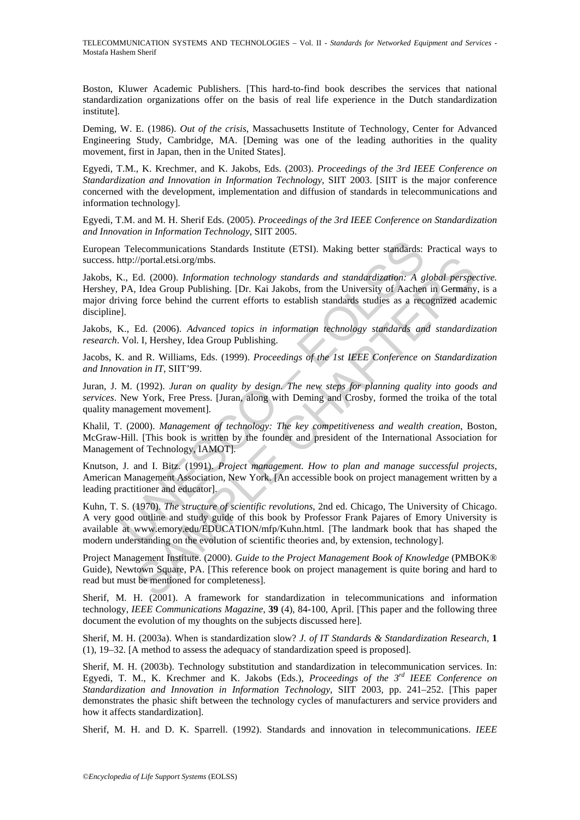TELECOMMUNICATION SYSTEMS AND TECHNOLOGIES – Vol. II - *Standards for Networked Equipment and Services* - Mostafa Hashem Sherif

Boston, Kluwer Academic Publishers. [This hard-to-find book describes the services that national standardization organizations offer on the basis of real life experience in the Dutch standardization institute].

Deming, W. E. (1986). *Out of the crisis*, Massachusetts Institute of Technology, Center for Advanced Engineering Study, Cambridge, MA. [Deming was one of the leading authorities in the quality movement, first in Japan, then in the United States].

Egyedi, T.M., K. Krechmer, and K. Jakobs, Eds. (2003). *Proceedings of the 3rd IEEE Conference on Standardization and Innovation in Information Technology*, SIIT 2003. [SIIT is the major conference concerned with the development, implementation and diffusion of standards in telecommunications and information technology].

Egyedi, T.M. and M. H. Sherif Eds. (2005). *Proceedings of the 3rd IEEE Conference on Standardization and Innovation in Information Technology*, SIIT 2005.

European Telecommunications Standards Institute (ETSI). Making better standards: Practical ways to success. http://portal.etsi.org/mbs.

Telecommunications Standards Institute (ETSI). Making better standards:<br>ttp://portal.etsi.org/mbs.<br>
K., Ed. (2000). *Information technology standards and standardization: A g* PA, Idea Group Publishing. [Dr. Kai Jakobs, fr *liforcial estionglinis.*<br> *A* (2000). *Information technology standards and standardization: A global perspection.* Information electrology standards studies as a recognized academic please Group Publishing. [Dr. Kai Jako Jakobs, K., Ed. (2000). *Information technology standards and standardization: A global perspective.* Hershey, PA, Idea Group Publishing. [Dr. Kai Jakobs, from the University of Aachen in Germany, is a major driving force behind the current efforts to establish standards studies as a recognized academic discipline].

Jakobs, K., Ed. (2006). *Advanced topics in information technology standards and standardization research*. Vol. I, Hershey, Idea Group Publishing.

Jacobs, K. and R. Williams, Eds. (1999). *Proceedings of the 1st IEEE Conference on Standardization and Innovation in IT*, SIIT'99.

Juran, J. M. (1992). *Juran on quality by design. The new steps for planning quality into goods and services*. New York, Free Press. [Juran, along with Deming and Crosby, formed the troika of the total quality management movement].

Khalil, T. (2000). *Management of technology: The key competitiveness and wealth creation*, Boston, McGraw-Hill. [This book is written by the founder and president of the International Association for Management of Technology, IAMOT].

Knutson, J. and I. Bitz. (1991). *Project management. How to plan and manage successful projects*, American Management Association, New York. [An accessible book on project management written by a leading practitioner and educator].

Kuhn, T. S. (1970). *The structure of scientific revolutions*, 2nd ed. Chicago, The University of Chicago. A very good outline and study guide of this book by Professor Frank Pajares of Emory University is available at www.emory.edu/EDUCATION/mfp/Kuhn.html. [The landmark book that has shaped the modern understanding on the evolution of scientific theories and, by extension, technology].

Project Management Institute. (2000). *Guide to the Project Management Book of Knowledge* (PMBOK® Guide), Newtown Square, PA. [This reference book on project management is quite boring and hard to read but must be mentioned for completeness].

Sherif, M. H. (2001). A framework for standardization in telecommunications and information technology, *IEEE Communications Magazine*, **39** (4), 84-100, April. [This paper and the following three document the evolution of my thoughts on the subjects discussed here].

Sherif, M. H. (2003a). When is standardization slow? *J. of IT Standards & Standardization Research*, **1** (1), 19–32. [A method to assess the adequacy of standardization speed is proposed].

Sherif, M. H. (2003b). Technology substitution and standardization in telecommunication services. In: Egyedi, T. M., K. Krechmer and K. Jakobs (Eds.), *Proceedings of the 3rd IEEE Conference on Standardization and Innovation in Information Technology*, SIIT 2003, pp. 241–252. [This paper demonstrates the phasic shift between the technology cycles of manufacturers and service providers and how it affects standardization].

Sherif, M. H. and D. K. Sparrell. (1992). Standards and innovation in telecommunications. *IEEE*